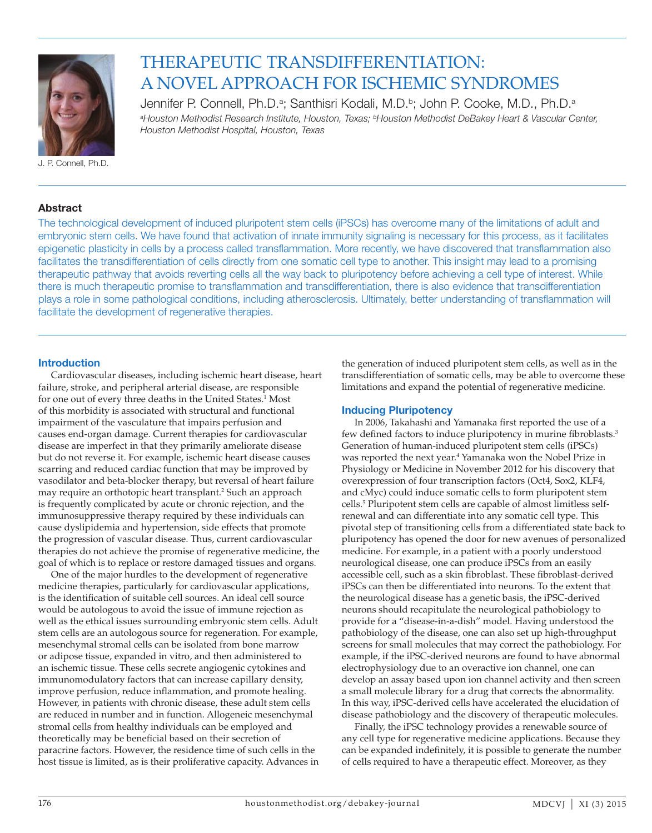

THERAPEUTIC TRANSDIFFERENTIATION: A NOVEL APPROACH FOR ISCHEMIC SYNDROMES

Jennifer P. Connell, Ph.D.<sup>a</sup>; Santhisri Kodali, M.D.<sup>b</sup>; John P. Cooke, M.D., Ph.D.<sup>a</sup> *a Houston Methodist Research Institute, Houston, Texas; bHouston Methodist DeBakey Heart & Vascular Center, Houston Methodist Hospital, Houston, Texas*

# **Abstract**

The technological development of induced pluripotent stem cells (iPSCs) has overcome many of the limitations of adult and embryonic stem cells. We have found that activation of innate immunity signaling is necessary for this process, as it facilitates epigenetic plasticity in cells by a process called transflammation. More recently, we have discovered that transflammation also facilitates the transdifferentiation of cells directly from one somatic cell type to another. This insight may lead to a promising therapeutic pathway that avoids reverting cells all the way back to pluripotency before achieving a cell type of interest. While there is much therapeutic promise to transflammation and transdifferentiation, there is also evidence that transdifferentiation plays a role in some pathological conditions, including atherosclerosis. Ultimately, better understanding of transflammation will facilitate the development of regenerative therapies.

#### **Introduction**

Cardiovascular diseases, including ischemic heart disease, heart failure, stroke, and peripheral arterial disease, are responsible for one out of every three deaths in the United States.<sup>1</sup> Most of this morbidity is associated with structural and functional impairment of the vasculature that impairs perfusion and causes end-organ damage. Current therapies for cardiovascular disease are imperfect in that they primarily ameliorate disease but do not reverse it. For example, ischemic heart disease causes scarring and reduced cardiac function that may be improved by vasodilator and beta-blocker therapy, but reversal of heart failure may require an orthotopic heart transplant.<sup>2</sup> Such an approach is frequently complicated by acute or chronic rejection, and the immunosuppressive therapy required by these individuals can cause dyslipidemia and hypertension, side effects that promote the progression of vascular disease. Thus, current cardiovascular therapies do not achieve the promise of regenerative medicine, the goal of which is to replace or restore damaged tissues and organs.

One of the major hurdles to the development of regenerative medicine therapies, particularly for cardiovascular applications, is the identification of suitable cell sources. An ideal cell source would be autologous to avoid the issue of immune rejection as well as the ethical issues surrounding embryonic stem cells. Adult stem cells are an autologous source for regeneration. For example, mesenchymal stromal cells can be isolated from bone marrow or adipose tissue, expanded in vitro, and then administered to an ischemic tissue. These cells secrete angiogenic cytokines and immunomodulatory factors that can increase capillary density, improve perfusion, reduce inflammation, and promote healing. However, in patients with chronic disease, these adult stem cells are reduced in number and in function. Allogeneic mesenchymal stromal cells from healthy individuals can be employed and theoretically may be beneficial based on their secretion of paracrine factors. However, the residence time of such cells in the host tissue is limited, as is their proliferative capacity. Advances in the generation of induced pluripotent stem cells, as well as in the transdifferentiation of somatic cells, may be able to overcome these limitations and expand the potential of regenerative medicine.

# **Inducing Pluripotency**

In 2006, Takahashi and Yamanaka first reported the use of a few defined factors to induce pluripotency in murine fibroblasts.<sup>3</sup> Generation of human-induced pluripotent stem cells (iPSCs) was reported the next year.<sup>4</sup> Yamanaka won the Nobel Prize in Physiology or Medicine in November 2012 for his discovery that overexpression of four transcription factors (Oct4, Sox2, KLF4, and cMyc) could induce somatic cells to form pluripotent stem cells.5 Pluripotent stem cells are capable of almost limitless selfrenewal and can differentiate into any somatic cell type. This pivotal step of transitioning cells from a differentiated state back to pluripotency has opened the door for new avenues of personalized medicine. For example, in a patient with a poorly understood neurological disease, one can produce iPSCs from an easily accessible cell, such as a skin fibroblast. These fibroblast-derived iPSCs can then be differentiated into neurons. To the extent that the neurological disease has a genetic basis, the iPSC-derived neurons should recapitulate the neurological pathobiology to provide for a "disease-in-a-dish" model. Having understood the pathobiology of the disease, one can also set up high-throughput screens for small molecules that may correct the pathobiology. For example, if the iPSC-derived neurons are found to have abnormal electrophysiology due to an overactive ion channel, one can develop an assay based upon ion channel activity and then screen a small molecule library for a drug that corrects the abnormality. In this way, iPSC-derived cells have accelerated the elucidation of disease pathobiology and the discovery of therapeutic molecules.

Finally, the iPSC technology provides a renewable source of any cell type for regenerative medicine applications. Because they can be expanded indefinitely, it is possible to generate the number of cells required to have a therapeutic effect. Moreover, as they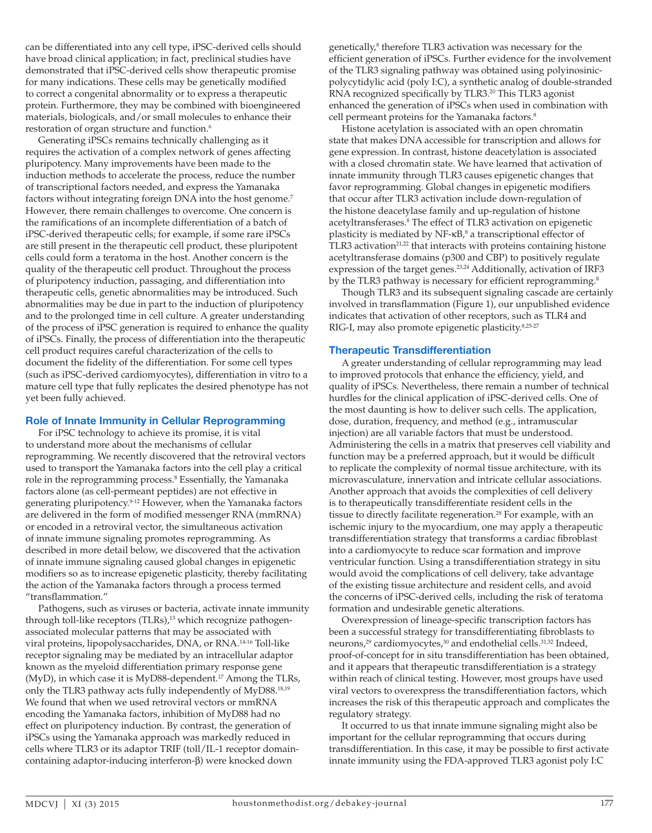can be differentiated into any cell type, iPSC-derived cells should have broad clinical application; in fact, preclinical studies have demonstrated that iPSC-derived cells show therapeutic promise for many indications. These cells may be genetically modified to correct a congenital abnormality or to express a therapeutic protein. Furthermore, they may be combined with bioengineered materials, biologicals, and/or small molecules to enhance their restoration of organ structure and function.<sup>6</sup>

Generating iPSCs remains technically challenging as it requires the activation of a complex network of genes affecting pluripotency. Many improvements have been made to the induction methods to accelerate the process, reduce the number of transcriptional factors needed, and express the Yamanaka factors without integrating foreign DNA into the host genome.<sup>7</sup> However, there remain challenges to overcome. One concern is the ramifications of an incomplete differentiation of a batch of iPSC-derived therapeutic cells; for example, if some rare iPSCs are still present in the therapeutic cell product, these pluripotent cells could form a teratoma in the host. Another concern is the quality of the therapeutic cell product. Throughout the process of pluripotency induction, passaging, and differentiation into therapeutic cells, genetic abnormalities may be introduced. Such abnormalities may be due in part to the induction of pluripotency and to the prolonged time in cell culture. A greater understanding of the process of iPSC generation is required to enhance the quality of iPSCs. Finally, the process of differentiation into the therapeutic cell product requires careful characterization of the cells to document the fidelity of the differentiation. For some cell types (such as iPSC-derived cardiomyocytes), differentiation in vitro to a mature cell type that fully replicates the desired phenotype has not yet been fully achieved.

#### **Role of Innate Immunity in Cellular Reprogramming**

For iPSC technology to achieve its promise, it is vital to understand more about the mechanisms of cellular reprogramming. We recently discovered that the retroviral vectors used to transport the Yamanaka factors into the cell play a critical role in the reprogramming process.<sup>8</sup> Essentially, the Yamanaka factors alone (as cell-permeant peptides) are not effective in generating pluripotency.9-12 However, when the Yamanaka factors are delivered in the form of modified messenger RNA (mmRNA) or encoded in a retroviral vector, the simultaneous activation of innate immune signaling promotes reprogramming. As described in more detail below, we discovered that the activation of innate immune signaling caused global changes in epigenetic modifiers so as to increase epigenetic plasticity, thereby facilitating the action of the Yamanaka factors through a process termed "transflammation."

Pathogens, such as viruses or bacteria, activate innate immunity through toll-like receptors (TLRs),<sup>13</sup> which recognize pathogenassociated molecular patterns that may be associated with viral proteins, lipopolysaccharides, DNA, or RNA.14-16 Toll-like receptor signaling may be mediated by an intracellular adaptor known as the myeloid differentiation primary response gene (MyD), in which case it is MyD88-dependent.<sup>17</sup> Among the TLRs, only the TLR3 pathway acts fully independently of MyD88.18,19 We found that when we used retroviral vectors or mmRNA encoding the Yamanaka factors, inhibition of MyD88 had no effect on pluripotency induction. By contrast, the generation of iPSCs using the Yamanaka approach was markedly reduced in cells where TLR3 or its adaptor TRIF (toll/IL-1 receptor domaincontaining adaptor-inducing interferon-β) were knocked down

genetically,<sup>8</sup> therefore TLR3 activation was necessary for the efficient generation of iPSCs. Further evidence for the involvement of the TLR3 signaling pathway was obtained using polyinosinicpolycytidylic acid (poly I:C), a synthetic analog of double-stranded RNA recognized specifically by TLR3.<sup>20</sup> This TLR3 agonist enhanced the generation of iPSCs when used in combination with cell permeant proteins for the Yamanaka factors.<sup>8</sup>

Histone acetylation is associated with an open chromatin state that makes DNA accessible for transcription and allows for gene expression. In contrast, histone deacetylation is associated with a closed chromatin state. We have learned that activation of innate immunity through TLR3 causes epigenetic changes that favor reprogramming. Global changes in epigenetic modifiers that occur after TLR3 activation include down-regulation of the histone deacetylase family and up-regulation of histone acetyltransferases.8 The effect of TLR3 activation on epigenetic plasticity is mediated by  $NF$ - $\kappa B$ ,<sup>8</sup> a transcriptional effector of TLR3 activation $21.22$  that interacts with proteins containing histone acetyltransferase domains (p300 and CBP) to positively regulate expression of the target genes.<sup>23,24</sup> Additionally, activation of IRF3 by the TLR3 pathway is necessary for efficient reprogramming.<sup>8</sup>

Though TLR3 and its subsequent signaling cascade are certainly involved in transflammation (Figure 1), our unpublished evidence indicates that activation of other receptors, such as TLR4 and RIG-I, may also promote epigenetic plasticity.8,25-27

#### **Therapeutic Transdifferentiation**

A greater understanding of cellular reprogramming may lead to improved protocols that enhance the efficiency, yield, and quality of iPSCs. Nevertheless, there remain a number of technical hurdles for the clinical application of iPSC-derived cells. One of the most daunting is how to deliver such cells. The application, dose, duration, frequency, and method (e.g., intramuscular injection) are all variable factors that must be understood. Administering the cells in a matrix that preserves cell viability and function may be a preferred approach, but it would be difficult to replicate the complexity of normal tissue architecture, with its microvasculature, innervation and intricate cellular associations. Another approach that avoids the complexities of cell delivery is to therapeutically transdifferentiate resident cells in the tissue to directly facilitate regeneration.<sup>28</sup> For example, with an ischemic injury to the myocardium, one may apply a therapeutic transdifferentiation strategy that transforms a cardiac fibroblast into a cardiomyocyte to reduce scar formation and improve ventricular function. Using a transdifferentiation strategy in situ would avoid the complications of cell delivery, take advantage of the existing tissue architecture and resident cells, and avoid the concerns of iPSC-derived cells, including the risk of teratoma formation and undesirable genetic alterations.

Overexpression of lineage-specific transcription factors has been a successful strategy for transdifferentiating fibroblasts to neurons,<sup>29</sup> cardiomyocytes,<sup>30</sup> and endothelial cells.<sup>31,32</sup> Indeed, proof-of-concept for in situ transdifferentiation has been obtained, and it appears that therapeutic transdifferentiation is a strategy within reach of clinical testing. However, most groups have used viral vectors to overexpress the transdifferentiation factors, which increases the risk of this therapeutic approach and complicates the regulatory strategy.

It occurred to us that innate immune signaling might also be important for the cellular reprogramming that occurs during transdifferentiation. In this case, it may be possible to first activate innate immunity using the FDA-approved TLR3 agonist poly I:C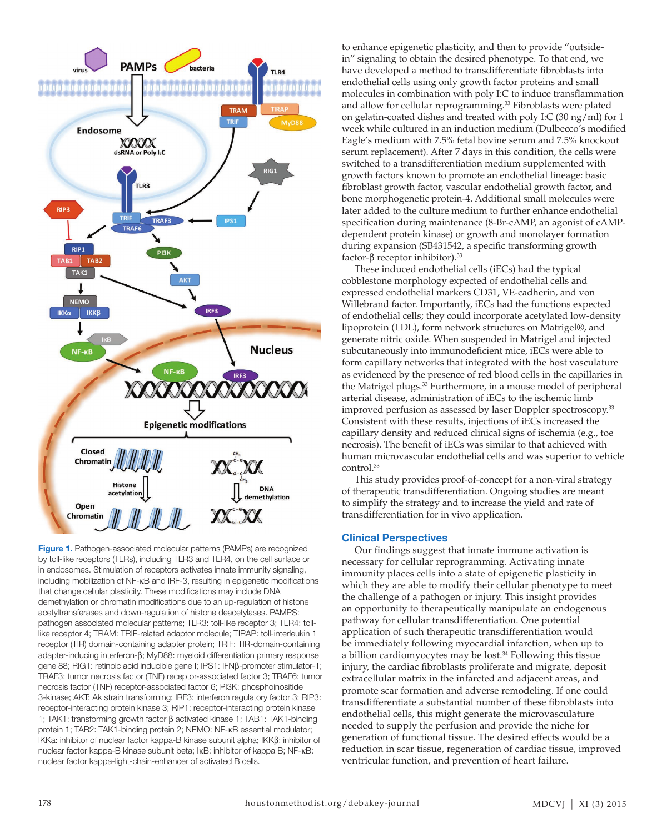

**Figure 1.** Pathogen-associated molecular patterns (PAMPs) are recognized by toll-like receptors (TLRs), including TLR3 and TLR4, on the cell surface or in endosomes. Stimulation of receptors activates innate immunity signaling, including mobilization of NF-κB and IRF-3, resulting in epigenetic modifications that change cellular plasticity. These modifications may include DNA demethylation or chromatin modifications due to an up-regulation of histone acetyltransferases and down-regulation of histone deacetylases. PAMPS: pathogen associated molecular patterns; TLR3: toll-like receptor 3; TLR4: tolllike receptor 4; TRAM: TRIF-related adaptor molecule; TIRAP: toll-interleukin 1 receptor (TIR) domain-containing adapter protein; TRIF: TIR-domain-containing adapter-inducing interferon-β; MyD88: myeloid differentiation primary response gene 88; RIG1: retinoic acid inducible gene I; IPS1: IFNβ-promoter stimulator-1; TRAF3: tumor necrosis factor (TNF) receptor-associated factor 3; TRAF6: tumor necrosis factor (TNF) receptor-associated factor 6; PI3K: phosphoinositide 3-kinase; AKT: Ak strain transforming; IRF3: interferon regulatory factor 3; RIP3: receptor-interacting protein kinase 3; RIP1: receptor-interacting protein kinase 1; TAK1: transforming growth factor β activated kinase 1; TAB1: TAK1-binding protein 1; TAB2: TAK1-binding protein 2; NEMO: NF-κB essential modulator; IKKa: inhibitor of nuclear factor kappa-B kinase subunit alpha; IKKβ: inhibitor of nuclear factor kappa-B kinase subunit beta; IκB: inhibitor of kappa B; NF-κB: nuclear factor kappa-light-chain-enhancer of activated B cells.

to enhance epigenetic plasticity, and then to provide "outsidein" signaling to obtain the desired phenotype. To that end, we have developed a method to transdifferentiate fibroblasts into endothelial cells using only growth factor proteins and small molecules in combination with poly I:C to induce transflammation and allow for cellular reprogramming.<sup>33</sup> Fibroblasts were plated on gelatin-coated dishes and treated with poly I:C (30 ng/ml) for 1 week while cultured in an induction medium (Dulbecco's modified Eagle's medium with 7.5% fetal bovine serum and 7.5% knockout serum replacement). After 7 days in this condition, the cells were switched to a transdifferentiation medium supplemented with growth factors known to promote an endothelial lineage: basic fibroblast growth factor, vascular endothelial growth factor, and bone morphogenetic protein-4. Additional small molecules were later added to the culture medium to further enhance endothelial specification during maintenance (8-Br-cAMP, an agonist of cAMPdependent protein kinase) or growth and monolayer formation during expansion (SB431542, a specific transforming growth factor-β receptor inhibitor).<sup>33</sup>

These induced endothelial cells (iECs) had the typical cobblestone morphology expected of endothelial cells and expressed endothelial markers CD31, VE-cadherin, and von Willebrand factor. Importantly, iECs had the functions expected of endothelial cells; they could incorporate acetylated low-density lipoprotein (LDL), form network structures on Matrigel®, and generate nitric oxide. When suspended in Matrigel and injected subcutaneously into immunodeficient mice, iECs were able to form capillary networks that integrated with the host vasculature as evidenced by the presence of red blood cells in the capillaries in the Matrigel plugs.<sup>33</sup> Furthermore, in a mouse model of peripheral arterial disease, administration of iECs to the ischemic limb improved perfusion as assessed by laser Doppler spectroscopy.<sup>33</sup> Consistent with these results, injections of iECs increased the capillary density and reduced clinical signs of ischemia (e.g., toe necrosis). The benefit of iECs was similar to that achieved with human microvascular endothelial cells and was superior to vehicle control.33

This study provides proof-of-concept for a non-viral strategy of therapeutic transdifferentiation. Ongoing studies are meant to simplify the strategy and to increase the yield and rate of transdifferentiation for in vivo application.

## **Clinical Perspectives**

Our findings suggest that innate immune activation is necessary for cellular reprogramming. Activating innate immunity places cells into a state of epigenetic plasticity in which they are able to modify their cellular phenotype to meet the challenge of a pathogen or injury. This insight provides an opportunity to therapeutically manipulate an endogenous pathway for cellular transdifferentiation. One potential application of such therapeutic transdifferentiation would be immediately following myocardial infarction, when up to a billion cardiomyocytes may be lost.<sup>34</sup> Following this tissue injury, the cardiac fibroblasts proliferate and migrate, deposit extracellular matrix in the infarcted and adjacent areas, and promote scar formation and adverse remodeling. If one could transdifferentiate a substantial number of these fibroblasts into endothelial cells, this might generate the microvasculature needed to supply the perfusion and provide the niche for generation of functional tissue. The desired effects would be a reduction in scar tissue, regeneration of cardiac tissue, improved ventricular function, and prevention of heart failure.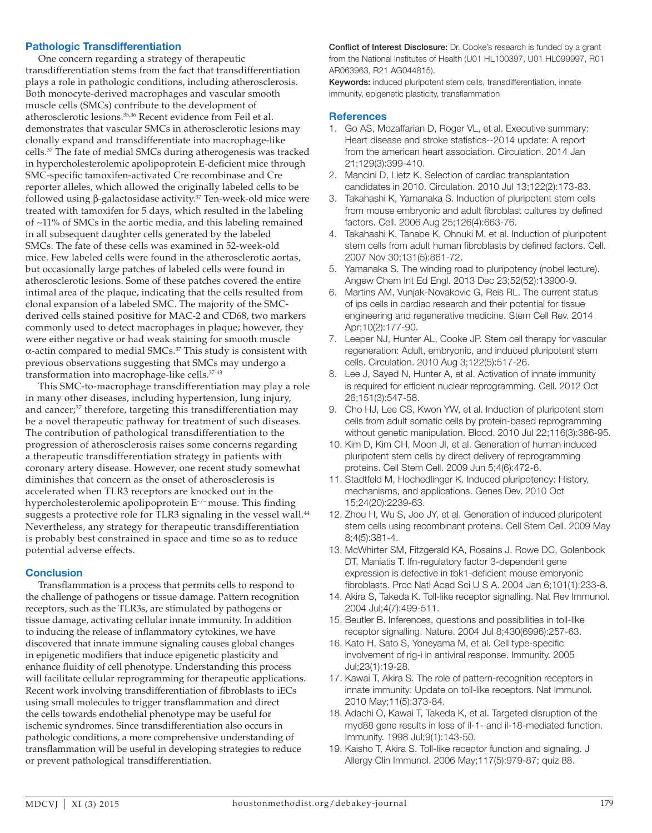# **Pathologic Transdifferentiation**

One concern regarding a strategy of therapeutic transdifferentiation stems from the fact that transdifferentiation plays a role in pathologic conditions, including atherosclerosis. Both monocyte-derived macrophages and vascular smooth muscle cells (SMCs) contribute to the development of atherosclerotic lesions.35,36 Recent evidence from Feil et al. demonstrates that vascular SMCs in atherosclerotic lesions may clonally expand and transdifferentiate into macrophage-like cells.37 The fate of medial SMCs during atherogenesis was tracked in hypercholesterolemic apolipoprotein E-deficient mice through SMC-specific tamoxifen-activated Cre recombinase and Cre reporter alleles, which allowed the originally labeled cells to be followed using β-galactosidase activity.37 Ten-week-old mice were treated with tamoxifen for 5 days, which resulted in the labeling of ~11% of SMCs in the aortic media, and this labeling remained in all subsequent daughter cells generated by the labeled SMCs. The fate of these cells was examined in 52-week-old mice. Few labeled cells were found in the atherosclerotic aortas, but occasionally large patches of labeled cells were found in atherosclerotic lesions. Some of these patches covered the entire intimal area of the plaque, indicating that the cells resulted from clonal expansion of a labeled SMC. The majority of the SMCderived cells stained positive for MAC-2 and CD68, two markers commonly used to detect macrophages in plaque; however, they were either negative or had weak staining for smooth muscle α-actin compared to medial SMCs.37 This study is consistent with previous observations suggesting that SMCs may undergo a transformation into macrophage-like cells.37-43

This SMC-to-macrophage transdifferentiation may play a role in many other diseases, including hypertension, lung injury, and cancer;<sup>37</sup> therefore, targeting this transdifferentiation may be a novel therapeutic pathway for treatment of such diseases. The contribution of pathological transdifferentiation to the progression of atherosclerosis raises some concerns regarding a therapeutic transdifferentiation strategy in patients with coronary artery disease. However, one recent study somewhat diminishes that concern as the onset of atherosclerosis is accelerated when TLR3 receptors are knocked out in the hypercholesterolemic apolipoprotein E<sup>-/-</sup> mouse. This finding suggests a protective role for TLR3 signaling in the vessel wall.<sup>44</sup> Nevertheless, any strategy for therapeutic transdifferentiation is probably best constrained in space and time so as to reduce potential adverse effects.

## **Conclusion**

Transflammation is a process that permits cells to respond to the challenge of pathogens or tissue damage. Pattern recognition receptors, such as the TLR3s, are stimulated by pathogens or tissue damage, activating cellular innate immunity. In addition to inducing the release of inflammatory cytokines, we have discovered that innate immune signaling causes global changes in epigenetic modifiers that induce epigenetic plasticity and enhance fluidity of cell phenotype. Understanding this process will facilitate cellular reprogramming for therapeutic applications. Recent work involving transdifferentiation of fibroblasts to iECs using small molecules to trigger transflammation and direct the cells towards endothelial phenotype may be useful for ischemic syndromes. Since transdifferentiation also occurs in pathologic conditions, a more comprehensive understanding of transflammation will be useful in developing strategies to reduce or prevent pathological transdifferentiation.

Conflict of Interest Disclosure: Dr. Cooke's research is funded by a grant from the National Institutes of Health (U01 HL100397, U01 HL099997, R01 AR063963, R21 AG044815).

Keywords: induced pluripotent stem cells, transdifferentiation, innate immunity, epigenetic plasticity, transflammation

#### **References**

- 1. Go AS, Mozaffarian D, Roger VL, et al. Executive summary: Heart disease and stroke statistics--2014 update: A report from the american heart association. Circulation. 2014 Jan 21;129(3):399-410.
- 2. Mancini D, Lietz K. Selection of cardiac transplantation candidates in 2010. Circulation. 2010 Jul 13;122(2):173-83.
- 3. Takahashi K, Yamanaka S. Induction of pluripotent stem cells from mouse embryonic and adult fibroblast cultures by defined factors. Cell. 2006 Aug 25;126(4):663-76.
- 4. Takahashi K, Tanabe K, Ohnuki M, et al. Induction of pluripotent stem cells from adult human fibroblasts by defined factors. Cell. 2007 Nov 30;131(5):861-72.
- 5. Yamanaka S. The winding road to pluripotency (nobel lecture). Angew Chem Int Ed Engl. 2013 Dec 23;52(52):13900-9.
- 6. Martins AM, Vunjak-Novakovic G, Reis RL. The current status of ips cells in cardiac research and their potential for tissue engineering and regenerative medicine. Stem Cell Rev. 2014 Apr;10(2):177-90.
- 7. Leeper NJ, Hunter AL, Cooke JP. Stem cell therapy for vascular regeneration: Adult, embryonic, and induced pluripotent stem cells. Circulation. 2010 Aug 3;122(5):517-26.
- 8. Lee J, Sayed N, Hunter A, et al. Activation of innate immunity is required for efficient nuclear reprogramming. Cell. 2012 Oct 26;151(3):547-58.
- 9. Cho HJ, Lee CS, Kwon YW, et al. Induction of pluripotent stem cells from adult somatic cells by protein-based reprogramming without genetic manipulation. Blood. 2010 Jul 22;116(3):386-95.
- 10. Kim D, Kim CH, Moon JI, et al. Generation of human induced pluripotent stem cells by direct delivery of reprogramming proteins. Cell Stem Cell. 2009 Jun 5;4(6):472-6.
- 11. Stadtfeld M, Hochedlinger K. Induced pluripotency: History, mechanisms, and applications. Genes Dev. 2010 Oct 15;24(20):2239-63.
- 12. Zhou H, Wu S, Joo JY, et al. Generation of induced pluripotent stem cells using recombinant proteins. Cell Stem Cell. 2009 May 8;4(5):381-4.
- 13. McWhirter SM, Fitzgerald KA, Rosains J, Rowe DC, Golenbock DT, Maniatis T. Ifn-regulatory factor 3-dependent gene expression is defective in tbk1-deficient mouse embryonic fibroblasts. Proc Natl Acad Sci U S A. 2004 Jan 6;101(1):233-8.
- 14. Akira S, Takeda K. Toll-like receptor signalling. Nat Rev Immunol. 2004 Jul;4(7):499-511.
- 15. Beutler B. Inferences, questions and possibilities in toll-like receptor signalling. Nature. 2004 Jul 8;430(6996):257-63.
- 16. Kato H, Sato S, Yoneyama M, et al. Cell type-specific involvement of rig-i in antiviral response. Immunity. 2005 Jul;23(1):19-28.
- 17. Kawai T, Akira S. The role of pattern-recognition receptors in innate immunity: Update on toll-like receptors. Nat Immunol. 2010 May;11(5):373-84.
- 18. Adachi O, Kawai T, Takeda K, et al. Targeted disruption of the myd88 gene results in loss of il-1- and il-18-mediated function. Immunity. 1998 Jul;9(1):143-50.
- 19. Kaisho T, Akira S. Toll-like receptor function and signaling. J Allergy Clin Immunol. 2006 May;117(5):979-87; quiz 88.